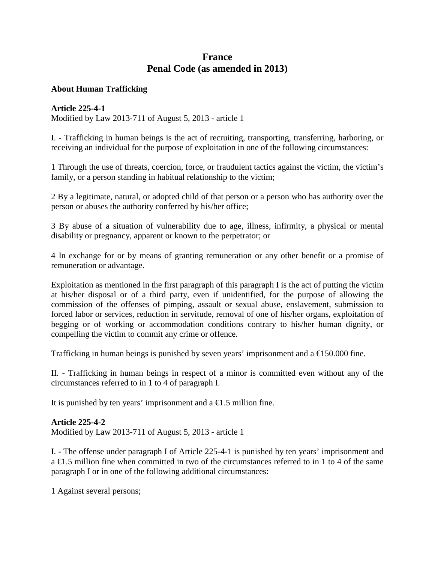# **France Penal Code (as amended in 2013)**

### **About Human Trafficking**

### **Article 225-4-1**

Modified by Law 2013-711 of August 5, 2013 - article 1

I. - Trafficking in human beings is the act of recruiting, transporting, transferring, harboring, or receiving an individual for the purpose of exploitation in one of the following circumstances:

1 Through the use of threats, coercion, force, or fraudulent tactics against the victim, the victim's family, or a person standing in habitual relationship to the victim;

2 By a legitimate, natural, or adopted child of that person or a person who has authority over the person or abuses the authority conferred by his/her office;

3 By abuse of a situation of vulnerability due to age, illness, infirmity, a physical or mental disability or pregnancy, apparent or known to the perpetrator; or

4 In exchange for or by means of granting remuneration or any other benefit or a promise of remuneration or advantage.

Exploitation as mentioned in the first paragraph of this paragraph I is the act of putting the victim at his/her disposal or of a third party, even if unidentified, for the purpose of allowing the commission of the offenses of pimping, assault or sexual abuse, enslavement, submission to forced labor or services, reduction in servitude, removal of one of his/her organs, exploitation of begging or of working or accommodation conditions contrary to his/her human dignity, or compelling the victim to commit any crime or offence.

Trafficking in human beings is punished by seven years' imprisonment and a  $\text{E}150.000$  fine.

II. - Trafficking in human beings in respect of a minor is committed even without any of the circumstances referred to in 1 to 4 of paragraph I.

It is punished by ten years' imprisonment and a  $\epsilon$ 1.5 million fine.

## **Article 225-4-2**

Modified by Law 2013-711 of August 5, 2013 - article 1

I. - The offense under paragraph I of Article 225-4-1 is punished by ten years' imprisonment and a €1.5 million fine when committed in two of the circumstances referred to in 1 to 4 of the same paragraph I or in one of the following additional circumstances:

1 Against several persons;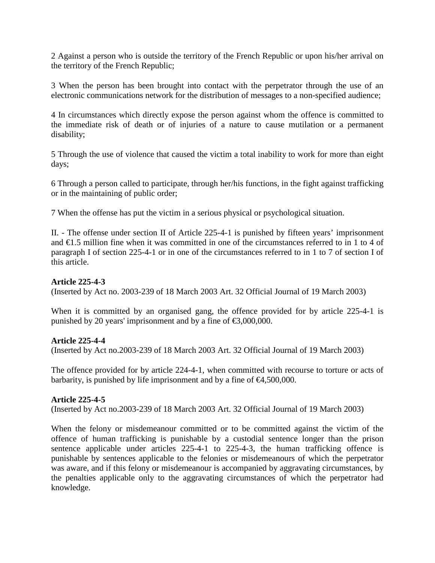2 Against a person who is outside the territory of the French Republic or upon his/her arrival on the territory of the French Republic;

3 When the person has been brought into contact with the perpetrator through the use of an electronic communications network for the distribution of messages to a non-specified audience;

4 In circumstances which directly expose the person against whom the offence is committed to the immediate risk of death or of injuries of a nature to cause mutilation or a permanent disability;

5 Through the use of violence that caused the victim a total inability to work for more than eight days;

6 Through a person called to participate, through her/his functions, in the fight against trafficking or in the maintaining of public order;

7 When the offense has put the victim in a serious physical or psychological situation.

II. - The offense under section II of Article 225-4-1 is punished by fifteen years' imprisonment and €1.5 million fine when it was committed in one of the circumstances referred to in 1 to 4 of paragraph I of section 225-4-1 or in one of the circumstances referred to in 1 to 7 of section I of this article.

### **Article 225-4-3**

(Inserted by Act no. 2003-239 of 18 March 2003 Art. 32 Official Journal of 19 March 2003)

When it is committed by an organised gang, the offence provided for by article 225-4-1 is punished by 20 years' imprisonment and by a fine of  $\epsilon$ 3,000,000.

#### **Article 225-4-4**

(Inserted by Act no.2003-239 of 18 March 2003 Art. 32 Official Journal of 19 March 2003)

The offence provided for by article 224-4-1, when committed with recourse to torture or acts of barbarity, is punished by life imprisonment and by a fine of  $\epsilon 4,500,000$ .

#### **Article 225-4-5**

(Inserted by Act no.2003-239 of 18 March 2003 Art. 32 Official Journal of 19 March 2003)

When the felony or misdemeanour committed or to be committed against the victim of the offence of human trafficking is punishable by a custodial sentence longer than the prison sentence applicable under articles 225-4-1 to 225-4-3, the human trafficking offence is punishable by sentences applicable to the felonies or misdemeanours of which the perpetrator was aware, and if this felony or misdemeanour is accompanied by aggravating circumstances, by the penalties applicable only to the aggravating circumstances of which the perpetrator had knowledge.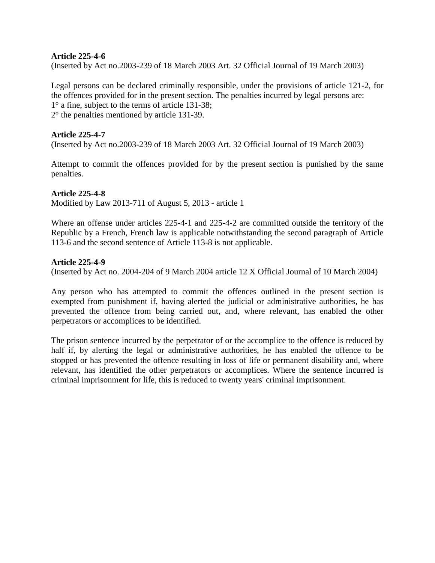### **Article 225-4-6**

(Inserted by Act no.2003-239 of 18 March 2003 Art. 32 Official Journal of 19 March 2003)

Legal persons can be declared criminally responsible, under the provisions of article 121-2, for the offences provided for in the present section. The penalties incurred by legal persons are: 1° a fine, subject to the terms of article 131-38; 2° the penalties mentioned by article 131-39.

### **Article 225-4-7**

(Inserted by Act no.2003-239 of 18 March 2003 Art. 32 Official Journal of 19 March 2003)

Attempt to commit the offences provided for by the present section is punished by the same penalties.

### **Article 225-4-8**

Modified by Law 2013-711 of August 5, 2013 - article 1

Where an offense under articles 225-4-1 and 225-4-2 are committed outside the territory of the Republic by a French, French law is applicable notwithstanding the second paragraph of Article 113-6 and the second sentence of Article 113-8 is not applicable.

### **Article 225-4-9**

(Inserted by Act no. 2004-204 of 9 March 2004 article 12 X Official Journal of 10 March 2004)

Any person who has attempted to commit the offences outlined in the present section is exempted from punishment if, having alerted the judicial or administrative authorities, he has prevented the offence from being carried out, and, where relevant, has enabled the other perpetrators or accomplices to be identified.

The prison sentence incurred by the perpetrator of or the accomplice to the offence is reduced by half if, by alerting the legal or administrative authorities, he has enabled the offence to be stopped or has prevented the offence resulting in loss of life or permanent disability and, where relevant, has identified the other perpetrators or accomplices. Where the sentence incurred is criminal imprisonment for life, this is reduced to twenty years' criminal imprisonment.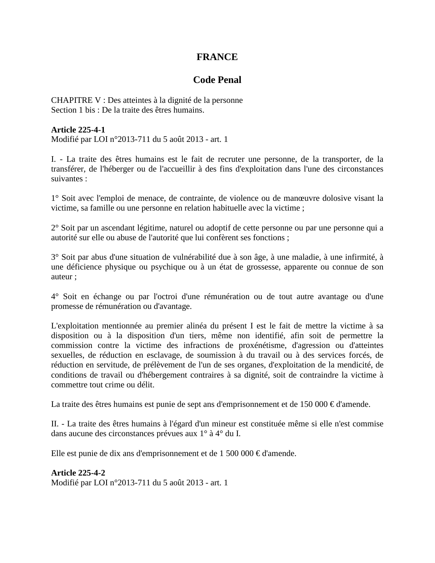# **FRANCE**

# **Code Penal**

CHAPITRE V : Des atteintes à la dignité de la personne Section 1 bis : De la traite des êtres humains.

### **Article 225-4-1**

Modifié par LOI n°2013-711 du 5 août 2013 - art. 1

I. - La traite des êtres humains est le fait de recruter une personne, de la transporter, de la transférer, de l'héberger ou de l'accueillir à des fins d'exploitation dans l'une des circonstances suivantes :

1° Soit avec l'emploi de menace, de contrainte, de violence ou de manœuvre dolosive visant la victime, sa famille ou une personne en relation habituelle avec la victime ;

2° Soit par un ascendant légitime, naturel ou adoptif de cette personne ou par une personne qui a autorité sur elle ou abuse de l'autorité que lui confèrent ses fonctions ;

3° Soit par abus d'une situation de vulnérabilité due à son âge, à une maladie, à une infirmité, à une déficience physique ou psychique ou à un état de grossesse, apparente ou connue de son auteur ;

4° Soit en échange ou par l'octroi d'une rémunération ou de tout autre avantage ou d'une promesse de rémunération ou d'avantage.

L'exploitation mentionnée au premier alinéa du présent I est le fait de mettre la victime à sa disposition ou à la disposition d'un tiers, même non identifié, afin soit de permettre la commission contre la victime des infractions de proxénétisme, d'agression ou d'atteintes sexuelles, de réduction en esclavage, de soumission à du travail ou à des services forcés, de réduction en servitude, de prélèvement de l'un de ses organes, d'exploitation de la mendicité, de conditions de travail ou d'hébergement contraires à sa dignité, soit de contraindre la victime à commettre tout crime ou délit.

La traite des êtres humains est punie de sept ans d'emprisonnement et de 150 000 € d'amende.

II. - La traite des êtres humains à l'égard d'un mineur est constituée même si elle n'est commise dans aucune des circonstances prévues aux 1° à 4° du I.

Elle est punie de dix ans d'emprisonnement et de 1 500 000  $\in$  d'amende.

**Article 225-4-2**  Modifié par LOI n°2013-711 du 5 août 2013 - art. 1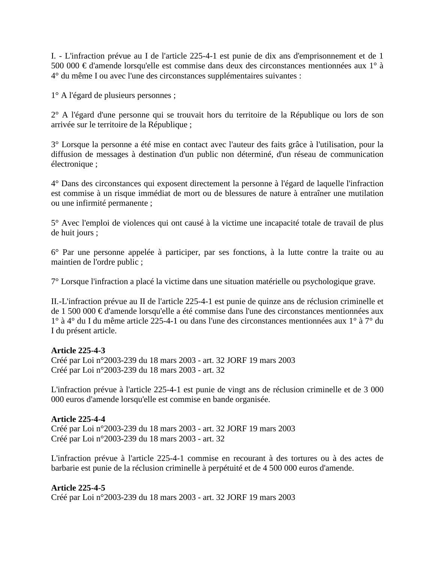I. - L'infraction prévue au I de l'article 225-4-1 est punie de dix ans d'emprisonnement et de 1 500 000 € d'amende lorsqu'elle est commise dans deux des circonstances mentionnées aux 1° à 4° du même I ou avec l'une des circonstances supplémentaires suivantes :

1° A l'égard de plusieurs personnes ;

2° A l'égard d'une personne qui se trouvait hors du territoire de la République ou lors de son arrivée sur le territoire de la République ;

3° Lorsque la personne a été mise en contact avec l'auteur des faits grâce à l'utilisation, pour la diffusion de messages à destination d'un public non déterminé, d'un réseau de communication électronique ;

4° Dans des circonstances qui exposent directement la personne à l'égard de laquelle l'infraction est commise à un risque immédiat de mort ou de blessures de nature à entraîner une mutilation ou une infirmité permanente ;

5° Avec l'emploi de violences qui ont causé à la victime une incapacité totale de travail de plus de huit jours ;

6° Par une personne appelée à participer, par ses fonctions, à la lutte contre la traite ou au maintien de l'ordre public ;

7° Lorsque l'infraction a placé la victime dans une situation matérielle ou psychologique grave.

II.-L'infraction prévue au II de l'article 225-4-1 est punie de quinze ans de réclusion criminelle et de 1 500 000 € d'amende lorsqu'elle a été commise dans l'une des circonstances mentionnées aux 1° à 4° du I du même article 225-4-1 ou dans l'une des circonstances mentionnées aux 1° à 7° du I du présent article.

### **Article 225-4-3**

Créé par Loi n°2003-239 du 18 mars 2003 - art. 32 JORF 19 mars 2003 Créé par Loi n°2003-239 du 18 mars 2003 - art. 32

L'infraction prévue à l'article 225-4-1 est punie de vingt ans de réclusion criminelle et de 3 000 000 euros d'amende lorsqu'elle est commise en bande organisée.

### **Article 225-4-4**

Créé par Loi n°2003-239 du 18 mars 2003 - art. 32 JORF 19 mars 2003 Créé par Loi n°2003-239 du 18 mars 2003 - art. 32

L'infraction prévue à l'article 225-4-1 commise en recourant à des tortures ou à des actes de barbarie est punie de la réclusion criminelle à perpétuité et de 4 500 000 euros d'amende.

### **Article 225-4-5**

Créé par Loi n°2003-239 du 18 mars 2003 - art. 32 JORF 19 mars 2003